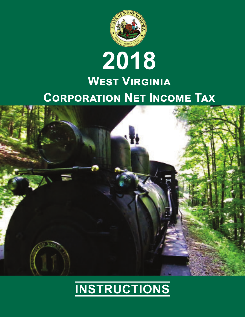

# **2018 WEST VIRGINIA CORPORATION NET INCOME TAX**



## **INSTRUCTIONS**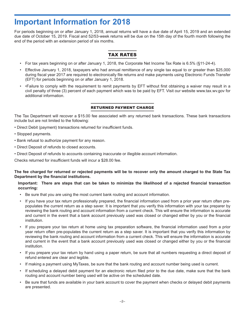## **Important Information for 2018**

For periods beginning on or after January 1, 2018, annual returns will have a due date of April 15, 2019 and an extended due date of October 15, 2019. Fiscal and 52/53-week returns will be due on the 15th day of the fourth month following the end of the period with an extension period of six months.

#### TAX RATES

- For tax years beginning on or after January 1, 2018, the Corporate Net Income Tax Rate is 6.5% (§11-24-4).
- Effective January 1, 2018, taxpayers who had annual remittance of any single tax equal to or greater than \$25,000 during fiscal year 2017 are required to electronically file returns and make payments using Electronic Funds Transfer (EFT) for periods beginning on or after January 1, 2018.
- •Failure to comply with the requirement to remit payments by EFT without first obtaining a waiver may result in a civil penalty of three (3) percent of each payment which was to be paid by EFT. Visit our website www.tax.wv.gov for additional information.

#### RETURNED PAYMENT CHARGE

The Tax Department will recover a \$15.00 fee associated with any returned bank transactions. These bank transactions include but are not limited to the following:

- Direct Debit (payment) transactions returned for insufficient funds.
- Stopped payments.
- Bank refusal to authorize payment for any reason.
- Direct Deposit of refunds to closed accounts.
- Direct Deposit of refunds to accounts containing inaccurate or illegible account information.

Checks returned for insufficient funds will incur a \$28.00 fee.

#### **The fee charged for returned or rejected payments will be to recover only the amount charged to the State Tax Department by the financial institutions.**

#### Important: There are steps that can be taken to minimize the likelihood of a rejected financial transaction **occurring:**

- Be sure that you are using the most current bank routing and account information.
- If you have your tax return professionally prepared, the financial information used from a prior year return often prepopulates the current return as a step saver. It is important that you verify this information with your tax preparer by reviewing the bank routing and account information from a current check. This will ensure the information is accurate and current in the event that a bank account previously used was closed or changed either by you or the financial institution.
- If you prepare your tax return at home using tax preparation software, the financial information used from a prior year return often pre-populates the current return as a step saver. It is important that you verify this information by reviewing the bank routing and account information from a current check. This will ensure the information is accurate and current in the event that a bank account previously used was closed or changed either by you or the financial institution.
- If you prepare your tax return by hand using a paper return, be sure that all numbers requesting a direct deposit of refund entered are clear and legible.
- If making a payment using MyTaxes, be sure that the bank routing and account number being used is current.
- If scheduling a delayed debit payment for an electronic return filed prior to the due date, make sure that the bank routing and account number being used will be active on the scheduled date.
- Be sure that funds are available in your bank account to cover the payment when checks or delayed debit payments are presented.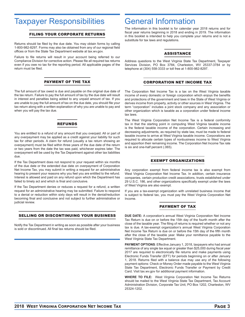### Taxpayer Responsibilities

#### FILING YOUR CORPORATE RETURNS

Returns should be filed by the due date. You may obtain forms by calling 1-800-982-8297. Forms may also be obtained from any of our regional field offices or from the State Tax Department website at tax.wv.gov.

Failure to file returns will result in your account being referred to our Compliance Division for corrective action. Please file all required tax returns even if you owe no tax for the reporting period. All applicable pages of the return must be filed.

#### PAYMENT OF THE TAX

The full amount of tax owed is due and payable on the original due date of the tax return. Failure to pay the full amount of tax by the due date will result in interest and penalties being added to any unpaid amount of tax. If you are unable to pay the full amount of tax on the due date, you should file your tax return along with a written explanation of why you are unable to pay and when you will pay the tax due.

#### REFUNDS

You are entitled to a refund of any amount that you overpaid. All or part of any overpayment may be applied as a credit against your liability for such tax for other periods. A claim for refund (usually a tax return showing an overpayment) must be filed within three years of the due date of the return or two years from the date the tax was paid, whichever expires later. The overpayment will be used by the Tax Department against other tax liabilities due.

If the Tax Department does not respond to your request within six months of the due date or the extended due date on overpayment of Corporation Net Income Tax, you may submit in writing a request for an administrative hearing to present your reasons why you feel you are entitled to the refund. Interest is allowed and paid on any refund upon which the Department has failed to timely act and which is final and conclusive.

If the Tax Department denies or reduces a request for a refund, a written request for an administrative hearing may be submitted. Failure to respond to a denial or reduction within sixty days will result in the denial/reduction becoming final and conclusive and not subject to further administrative or judicial review.

#### SELLING OR DISCONTINUING YOUR BUSINESS

Notify the Tax Department in writing as soon as possible after your business is sold or discontinued. All final tax returns should be filed.

## General Information

The information in this booklet is for calendar year 2018 returns and for fiscal year returns beginning in 2018 and ending in 2019. The information in this booklet is intended to help you complete your returns and is not a substitute for tax laws and regulations.

#### ASSISTANCE

Address questions to the West Virginia State Tax Department, Taxpayer Services Division, PO Box 3784, Charleston, WV 25337-3784 or by telephone at (304) 558-3333 or toll free at 1-800-982-8297.

#### CORPORATION NET INCOME TAX

The Corporation Net Income Tax is a tax on the West Virginia taxable income of every domestic or foreign corporation which enjoys the benefits and protections of the government and laws in the State of West Virginia or derives income from property, activity or other sources in West Virginia. The term "corporation" includes a joint stock company and any association or other organization which is taxable as a corporation under federal income tax laws.

The West Virginia Corporation Net Income Tax is a federal conformity tax in that the starting point in computing West Virginia taxable income is the federal taxable income of the corporation. Certain increasing and decreasing adjustments, as required by state law, must be made to federal taxable income to arrive at West Virginia taxable income. Corporations are required to allocate certain types of nonbusiness income to West Virginia and apportion their remaining income. The Corporation Net Income Tax rate is six and one-half percent (.065).

#### EXEMPT ORGANIZATIONS

Any corporation exempt from federal income tax is also exempt from West Virginia Corporation Net Income Tax. In addition, certain insurance companies, certain production credit associations, trusts established under 29 U.S.C. 186, and other organizations specifically exempt under the laws of West Virginia are also exempt.

If you are a tax-exempt organization with unrelated business income that is subject to federal tax, you must pay the West Virginia Corporation Net Income.

#### PAYMENT OF TAX

**DUE DATE:** A corporation's annual West Virginia Corporation Net Income Tax Return is due on or before the 15th day of the fourth month after the close of the taxable year. The filing of returns is required whether or not any tax is due. A tax-exempt organization's annual West Virginia Corporation Net Income Tax Return is due on or before the 15th day of the fifth month after the close of the taxable year. Make your remittance payable to the West Virginia State Tax Department.

PAYMENT OPTIONS: Effective January 1, 2018, taxpayers who had annual remittance of any single tax equal or greater than \$25,000 during fiscal year 2017 are required to electronically file returns and make payments using Electronic Funds Transfer (EFT) for periods beginning on or after January 1, 2018. Returns filed with a balance due may use any of the following payment options: Check or Money Order made payable to the West Virginia State Tax Department, Electronic Funds Transfer or Payment by Credit Card. Visit tax.wv.gov for additional payment information.

**WHERE TO FILE:** West Virginia Corporation Net Income Tax Returns should be mailed to the West Virginia State Tax Department, Tax Account Administration Division, Corporate Tax Unit, PO Box 1202, Charleston, WV 25324-1202.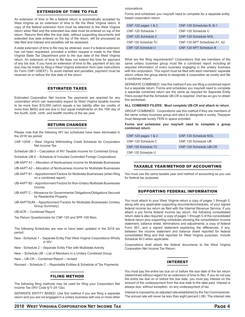#### EXTENSION OF TIME TO FILE

An extension of time to file a federal return is automatically accepted by West Virginia as an extension of time to file the West Virginia return. A copy of the federal extension form must be attached to the West Virginia return when filed and the extended due date must be entered on top of the return. Returns filed after the due date, without supporting documents and extended due date entered on the top of the return, will be processed as late filed and interest and penalties will be assessed.

A state extension of time to file may be obtained, even if a federal extension has not been requested, provided a written request is made to the West Virginia State Tax Department prior to the due date of the West Virginia return. An extension of time to file does not extend the time for payment of any tax due. If you have an extension of time to file, payment of any tax due may be made by filing a West Virginia extension form (see instructions for Form CNF-120EXT). To avoid interest and penalties, payment must be received on or before the due date of the return.

#### ESTIMATED TAXES

Estimated Corporation Net Income Tax payments are required for any corporation which can reasonably expect its West Virginia taxable income to be more than \$10,000 (which equals a tax liability after tax credits of more than \$650) and are due in four equal installments on the 15th day of the fourth, sixth, ninth, and twelfth months of the tax year

#### RETURN CHANGES

Please note that the following WV tax schedules have been eliminated in the 2018 tax period:

- CNF-120W West Virginia Withholding Credit Schedule for Corporation Net Income Tax
- Schedule UB-3 Calculation of WV Taxable Income for Combined Group
- Schedule UB-5 Schedule of Included Controlled Foreign Corporations
- UB-4APT A1 Allocation of Nonbusiness income for Multistate Businesses
- UB-4APT A2 Allocation of Nonbusiness Income for Multistate Businesses
- UB-4APT B1 Apportionment Factors for Multistate Businesses (when filing on a combined report)
- UB-4APT B2 Apportionment Factors for Non-Unitary Multistate Businesses Income
- UB-4APT C Allowance for Governmental Obligations/Obligations Secured by Residential Property
- UB-4APTSUM Apportionment Factors for Multistate Businesses (Unitary Group Summary)
- UB-4CR Combined Report

Tax Return Questionnaire for CNF-120 and SPF-100 filers

The following Schedules are new or have been updated in the 2018 tax period:

- New Schedule 1 Separate Entity Filer West Virginia Corporations Wholly in WV
- New Schedule 2 Separate Entity Filer with Multistate Activity
- New Schedule UB List of Members in a Unitary Combined Group
- New UB-CR Combined Report revised
- Revised Schedule C Reportable Entities & Schedule of Tax Payments

#### FILING METHOD

The following filing methods may be used for filing your Corporation Net Income Tax (WV Code §11-24-13a).

SEPARATE ENTITY BASED: Use this method if you are filing a separate return and you are not engaged in a unitary business with one or more other corporations.

Forms and schedules you may/will need to complete for a separate entitybased corporation return:

| CNF-120 pages 1 & 2 | CNF-120 Schedules B, B-1     |
|---------------------|------------------------------|
| CNF-120 Schedule 1  | CNF-120 Schedule C           |
| CNF-120 Schedule 2  | CNF-120 Schedule NOL         |
| CNF-120 Schedule TC | CNF-120 APT Schedules A1, A2 |
| CNF-120 Schedule U  | CNF-120 APT Schedule B       |

What are the filing requirements? Corporations that are members of the same unitary business group must file a combined report including all required information of every business engaging in the unitary business with the corporation. This report must be filed with each members' separate return unless the group elects to designate a corporation as surety and file a combined return.

SEPARATE COMBINED: Use this method if you are filing a combined report but a separate return. Forms and schedules you may/will need to complete a separate combined return are the same as required for Separate Entity Filers except that the Schedule UB-CR is required. Visit tax.wv.gov to obtain this worksheet.

#### **ALL COMBINED FILERS: Must complete UB-CR and attach to return.**

GROUP COMBINED: Corporations use this method if they are members of the same unitary business group and elect to designate a surety. Taxpayer must designate surety FEIN in space provided.

**Forms and schedules you may/will need to complete a group combined return**:

| CNF-120 pages 1 & 2 | CNF-120 Schedule NOL   |
|---------------------|------------------------|
| CNF-120 Schedule C  | CNF-120 Schedule UB    |
| CNF-120 Schedule TC | CNF-120 Schedule UB-CR |
| CNF-120 Schedule U  |                        |

#### TAXABLE YEAR/METHOD OF ACCOUNTING

You must use the same taxable year and method of accounting as you use for federal tax purposes.

#### SUPPORTING FEDERAL INFORMATION

You must attach to your West Virginia return a copy of pages 1 through 5, along with any applicable supporting documents/schedules, of your signed federal income tax return as filed with the Internal Revenue Service. If you attach a pro forma federal income tax return, the following consolidated return data is also required: a copy of pages 1 through 5 of the consolidated federal return plus supporting schedules showing the consolidation income statement, balance sheet, eliminations and adjustments; a copy of federal Form 851; and a signed statement explaining the differences, if any, between the income statement and balance sheet reported for federal consolidated filing and that reported for West Virginia purposes. Include Schedule M-3 when applicable.

Corporations shall attach the federal documents to the West Virginia Corporation Net Income Tax Return.

#### INTEREST

You must pay the entire tax due on or before the due date of the tax return (determined without regard for an extension of time to file). If you do not pay the entire tax due on or before the due date, you must pay interest on the amount of the underpayment from the due date to the date paid. Interest is always due, without exception, on any underpayment of tax.

Interest is imposed by an adjusted rate established by the Tax Commissioner. The annual rate will never be less than eight percent (.08). The interest rate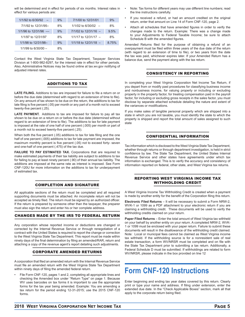will be determined and in effect for periods of six months. Interest rates in effect for various periods are:

| $1/1/92$ to 6/30/92 $-$  | 9% | 7/1/00 to 12/31/01       | 9%     |
|--------------------------|----|--------------------------|--------|
| 7/1/92 to 12/31/95-      | 8% | $1/1/02$ to 6/30/02 $-$  | 8%     |
| $1/1/96$ to $12/31/96$ — | 9% | $7/1/02$ to 12/31/16 -   | 9.5%   |
| 1/1/97 to 12/31/97       | 8% | $1/1/17$ to $12/31/17 -$ | 8%     |
| 1/1/98 to 12/31/98-      | 9% | $1/1/18$ to $12/31/18$ – | 8 7 5% |
| $1/1/99$ to 6/30/00 $-$  | 8% |                          |        |

Contact the West Virginia State Tax Department, Taxpayer Services Division at 1-800-982-8297, for the interest rate in effect for other periods. Also, Administrative Notices may be found online at tax.wv.gov notifying of adjusted interest rates.

#### ADDITIONS TO TAX

LATE FILING. Additions to tax are imposed for failure to file a return on or before the due date (determined with regard to an extension of time to file). On any amount of tax shown to be due on the return, the additions to tax for late filing is five percent (.05) per month or any part of a month not to exceed twenty-five percent (.25).

**LATE PAYMENT.** Additions to tax are imposed for failure to pay all tax shown to be due on a return on or before the due date (determined without regard to an extension of time to file). The additions to tax for late payment is imposed at the rate of one half of one percent (.005) per month or part of a month not to exceed twenty-five percent (.25).

When both the five percent (.05) additions to tax for late filing and the one half of one percent (.005) additions to tax for late payment are imposed, the maximum monthly percent is five percent (.05) not to exceed forty- seven and one-half of one percent (.475) of the tax due.

**FAILURE TO PAY ESTIMATED TAX.** Corporations that are required to make estimated payments of their tax liability are subject to additions to tax for failing to pay at least ninety percent (.90) of their annual tax liability. The additions are imposed at the same rate as interest is imposed. See Form CNF-120U for more information on the additions to tax for underpayment of estimated tax.

#### COMPLETION AND SIGNATURE

All applicable sections of the return must be completed and all required supporting documents must be attached. An incomplete return will not be accepted as timely filed. The return must be signed by an authorized officer. If the return is prepared by someone other than the taxpayer, the preparer must also sign the return and enter his or her complete address.

#### CHANGES MADE BY THE IRS TO FEDERAL RETURN

Any corporation whose reported income or deductions are changed or corrected by the Internal Revenue Service or through renegotiation of a contract with the United States is required to report the change or correction to the West Virginia State Tax Department. This report must be made within ninety days of the final determination by filing an amended/RAR, return and attaching a copy of the revenue agent's report detailing such adjustments.

#### CORPORATE AMENDED RETURNS

A corporation that filed an amended return with the Internal Revenue Service must file an amended return with the West Virginia State Tax Department within ninety days of filing the amended federal return.

• File Form CNF-120, pages 1 and 2, completing all appropriate lines and checking the Amended box under "Return Type" on page 1. Because WV uses barcodes on tax forms it is important to use the appropriate forms for the tax year being amended. Example: You are amending a tax return for the period ending 12-31-2015; use the 2015 CNF-120 forms.

- Note: Tax forms for different years may use different line numbers; read the line instructions carefully.
- If you received a refund, or had an amount credited on the original return, enter that amount on Line 14 of Form CNF-120, page 2.
- Attach all schedules that have amended figures in order to verify the changes made to the return. Example: There was a change made to your Adjustments to Federal Taxable Income; be sure to attach Schedule B with the amended figures.

Amended Returns filed for the purpose of obtaining a refund of an overpayment must be filed within three years of the due date of the return (with regard to an extension of time to file), or two years from the date the tax was paid, whichever expires later. If your Amended Return has a balance due, send the payment along with the tax return.

#### CONSISTENCY IN REPORTING

In completing your West Virginia Corporation Net Income Tax Return, if you depart from or modify past procedures for classifying business income and nonbusiness income, for valuing property or including or excluding property in the property factor, for treating compensation paid in the payroll factor, for including or excluding gross receipts in the sales factor, you must disclose by separate attached schedule detailing the nature and extent of the variances or modifications.

If you make sales of tangible personal property which are shipped into a state in which you are not taxable, you must identify the state to which the property is shipped and report the total amount of sales assigned to such state

#### CONFIDENTIAL INFORMATION

.

Tax information which is disclosed to the West Virginia State Tax Department, whether through returns or through department investigation, is held in strict confidence by law. The State Tax Department, the United States Internal Revenue Service and other states have agreements under which tax information is exchanged. This is to verify the accuracy and consistency of information reported on federal, other state, and West Virginia tax returns.

#### REPORTING WEST VIRGINIA INCOME TAX WITHHOLDING CREDIT

A West Virginia Income Tax Withholding Credit is created when a payment is made by another entity for the benefit of the Corporation filing this return.

**Electronic Filed Returns** – It will be necessary to submit a Form NRW-2, WVK-1 or 1099 as a PDF attachment to your electronic return if you are claiming a withholding credit. These documents will be used to verify the withholding credits claimed on your return.

**Paper Filed Returns** – Enter the total amount of West Virginia tax withheld on your behalf by another entity on your return. A completed NRW-2, WVK-1 or 1099 must be enclosed with your paper return. Failure to submit these documents will result in the disallowance of the withholding credit claimed. Note: Local or municipal fees cannot be claimed as West Virginia income tax withheld. If the withholding source is for a nonresident sale of real estate transaction, a form WV/NRSR must be completed and on file with the State Tax Department prior to submitting a tax return. Additionally, a Federal Schedule D must be submitted. If withholdings are related to form WV/NRSR, please indicate in the box provided on line 12

## **Form CNF-120 Instructions**

Enter beginning and ending tax year dates covered by this return. Clearly print or type your name and address. If filing under extension, enter the extended due date. In the "Check Applicable Boxes" section, mark all that apply to the corporate return being filed.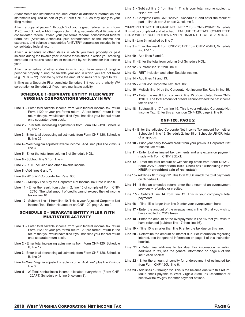Attachments and statements required: Attach all additional information and statements required as part of your Form CNF-120 as they apply to your filing method.

Attach a copy of pages 1 through 5 of your signed federal return (Form 1120), and Schedule M-3 if applicable. If filing separate West Virginia and consolidated federal, attach your pro forma federal, consolidated federal Form 851 (Affiliation Schedule), plus spreadsheets of the income and expenses, and balance sheet entries for EVERY corporation included in the consolidated federal return.

Attach a schedule of other states in which you have property or paid salaries during the taxable year. Indicate those states in which you are filing corporate tax returns based on, or measured by, net income for this taxable year.

Attach a schedule of other states in which you have sales of tangible personal property during the taxable year and in which you are not taxed (e.g. P.L.86-272). Indicate by state the amount of sales not subject to tax.

If filing as a Separate Filer complete Schedule 1 if you are a wholly WV corporation or Schedule 2 if you have multistate activity.

#### SCHEDULE 1–SEPARATE ENTITY FILER WEST VIRGINIA CORPORATIONS WHOLLY IN WV

- Line 1 Enter total taxable income from your federal income tax return Form 1120 or your pro forma return. A "pro forma" return is the return that you would have filed if you had filed your federal return on a separate return basis.
- **Line 2** Enter total increasing adjustments from Form CNF-120, Schedule B, line 12.
- **Line 3** Enter total decreasing adjustments from Form CNF-120, Schedule B, line 25.
- **Line 4** West Virginia adjusted taxable income. Add line1 plus line 2 minus line 3.
- **Line 5** Enter the total from column 6 of Schedule NOL.
- **Line 6** Subtract line 5 from line 4.
- **Line 7** REIT Inclusion and other Taxable income.
- **Line 8 -** Add lines 6 and 7.
- **Line 9** 2018 WV Corporate Tax Rate .065.
- **Line 10** Multiply line 8 by the Corporate Net Income Tax Rate in line 9.
- **Line 1**1Enter the result from column 2, line 15 of completed Form CNF-120TC. The total amount of credits cannot exceed the net income tax on line 10.
- **Line 12** Subtract line 11 from line 10. This is your Adjusted Corporate Net Income Tax. Enter this amount on CNF-120, page 2, line 9.

#### SCHEDULE 2 – SEPARATE ENTITY FILER WITH MULTISTATE ACTIVITY

- Line 1 Enter total taxable income from your federal income tax return Form 1120 or your pro forma return. A "pro forma" return is the return that you would have filed if you had filed your federal return on a separate return basis.
- **Line 2** Enter total increasing adjustments from Form CNF-120, Schedule B, line 12.
- **Line 3** Enter total decreasing adjustments from Form CNF-120, Schedule B, line 25.
- **Line 4** West Virginia adjusted taxable income. Add line1 plus line 2 minus line 3.
- **Line 5** W Total nonbusiness income allocated everywhere (Form CNF-120APT, Schedule A-1, line 9, column 3).
- **Line 6** Subtract line 5 from line 4. This is your total income subject to apportionment.
- **Line 7** Complete Form CNF-120APT Schedule B and enter the result of part 1, line 8; part 2 or part 3, column 3.

\*\*IMPORTANT NOTE REGARDING LINE 7 \*\* Form CNF-120APT, Schedule B must be completed and attached. FAILURE TO ATTACH COMPLETED FORM WILL RESULT IN 100% APPORTIONMENT TO WEST VIRGINIA.

- **Line 8** Line 6 multiplied by line 7
- **Line 9** Enter the result from CNF-120APT from CNF-120APT, Schedule A2, line 13.
- **Line 10** Add lines 8 and 9.
- **Line 11** Enter the total from column 6 of Schedule NOL.
- **Line 12** Subtract line 11 from line 10.
- **Line 13** REIT Inclusion and other Taxable income.
- **Line 14** Add lines 12 and 13.
- **Line 15** 2018 WV Corporate Tax Rate .065.
- **Line 16** Multiply line 14 by the Corporate Net Income Tax Rate in line 15.
- **Line 17** Enter the result from column 2, line 15 of completed Form CNF-120TC. The total amount of credits cannot exceed the net income tax on line 16.
- **Line 18** Subtract line 17 from line 16. This is your Adjusted Corporate Net Income Tax. Enter this amount on CNF-120, page 2, line 9.

#### CNF-120, PAGE 2

- **Line 9** Enter the adjusted Corporate Net Income Tax amount from either Schedule 1, line 12, Schedule 2, line 18 or Schedule UB-CR, total of all groups.
- **Line 10** Prior year carry forward credit from your previous Corporate Net Income Tax return.
- **Line 11**  Enter total estimated tax payments and any extension payment made with Form CNF-120EXT.
- **Line 12 -** Enter the total amount of withholding credit from Form NRW-2, Form WVK-1, and/or Form 1099. Check box if withholding is from **NRSR (nonresident sale of real estate).**
- **Line 13** Add lines 10 through 12. This total MUST match the total payments on Schedule C.
- **Line 14** If this an amended return, enter the amount of an overpayment previously refunded or credited.
- **Line 15** Subtract line 14 from line 13. This is your company's total payments.
- **Line 16** If line 15 is larger than line 9 enter your overpayment here.
- **Line 17** Enter the amount of the overpayment in line 16 that you wish to have credited to 2019 taxes.
- **Line 18** Enter the amount of the overpayment in line 16 that you wish to have refunded (subtract line 17 from line 16).
- **Line 19 I**f line 15 is smaller than line 9, enter the tax due on this line.
- Line 20 Determine the amount of interest due. For information regarding interest, see the general information on page 4 of this instruction booklet.
- **Line 21** Determine additions to tax due. For information regarding additions to tax, see the general information on page 5 of this instruction booklet.
- Line 22 Enter the amount of penalty for underpayment of estimated tax from Form CNF-120U, line 6.
- **Line 23** Add lines 19 through 22. This is the balance due with this return. Make check payable to West Virginia State Tax Department or see www.tax.wv.gov for other payment options.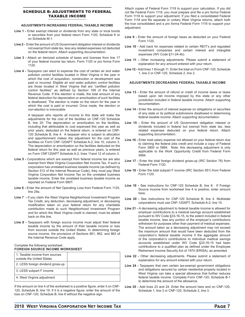#### SCHEDULE B: ADJUSTMENTS TO FEDERAL TAXABLE INCOME

#### **ADJUSTMENTS INCREASING FEDERAL TAXABLE INCOME**

- **Line 1** Enter exempt interest or dividends from any state or local bonds or securities from your federal return Form 1120, Schedule K or on Schedule M-1.
- **Line 2** Enter the amount of US Government obligation interest or dividends not exempt from state tax, less any related expenses not deducted on the federal return. Attach supporting documentation.
- **Line 3 -** Attach an itemized schedule of taxes and licenses from line 17 of your federal income tax return, Form 1120 or pro forma Form 1120.
- **Line 4** Taxpayers can elect to expense the cost of certain air and water pollution control facilities located in West Virginia in the year in which the cost of acquisition, construction or development was paid or incurred. Eligible air and water pollution control facilities are those located in West Virginia that are "certified pollution control facilities" as defined by Section 169 of the Internal Revenue Code. If this election is made, the total amount of any federal deduction for depreciation or amortization of such facilities is disallowed. The election is made on the return for the year in which the cost is paid or incurred. Once made, the election or non-election is irrevocable.

A taxpayer who reports all income to this state will make the adjustments for the cost of the facilities on CNF-120 Schedule B, line 20. The depreciation or amortization on the facilities, including that attributable to cost expensed this year as well as prior years, deducted on the federal return, is entered on CNF-120 Schedule B, line 4. A taxpayer who is subject to allocation and apportionment makes the adjustment for the cost of the facilities on Form CNF-120APT Schedule A-2, line 10, column 3. The depreciation or amortization on the facilities deducted on the federal return for this year as well as previous years, is entered on Form CNF120APT Schedule A-2, lines 11and 12 of column 3.

- **Line 5** Corporations which are exempt from federal income tax are also exempt from West Virginia Corporation Net Income Tax. If such a corporation has unrelated business taxable income (as defined by Section 512 of the Internal Revenue Code), they must pay West Virginia Corporation Net Income Tax on the unrelated business taxable income. Enter the unrelated business taxable income as reported on Federal Form 990T.
- **Line 6** Enter the amount of Net Operating Loss from Federal Form 1120, line 29a.
- **Line 7** If you claim the West Virginia Neighborhood Investment Program Tax Credit, any deduction, decreasing adjustment, or decreasing modification taken on your federal return for any charitable contribution made to such Neighborhood Investment Program and for which the West Virginia credit is claimed, must be added back on this line.
- **Line 8** Taxpayers with foreign source income must adjust their federal taxable income by the amount of their taxable income or loss from sources outside the United States. In determining foreign source income, the provisions of Sections 861, 862, and 863 of the Internal Revenue Code apply.

#### Complete the following worksheet.

#### **FOREIGN SOURCE INCOME WORKSHEET**

| 1 Taxable income from sources<br>outside the United States |  |
|------------------------------------------------------------|--|
| 2. LESS foreign dividend gross-up                          |  |
| 3. LESS subpart F income                                   |  |
| 4. West Virginia adjustment                                |  |

If the amount on line 4 of the worksheet is a positive figure, enter it on CNF-120, Schedule B, line 19. If it is a negative figure, enter the amount of the loss on CNF-120, Schedule B, line 8 without the negative sign.

Attach copies of Federal Form 1118 to support your calculation. If you did not file Federal Form 1118, you must prepare and file a pro forma Federal Form 1118 to support your adjustment. If you filed a consolidated Federal Form 1118 and file separate or unitary West Virginia returns, attach both the true consolidated and a pro forma Federal Form 1118 to support your adiustment.

- **Line 9** Enter the amount of foreign taxes as deducted on your Federal Form 1120.
- **Line 10** Add back for expenses related to certain REIT's and regulated investment companies and certain interest and intangible expenses (WV Code §11-24-4b).
- **Line 11** Other increasing adjustments. Please submit a statement of explanation for any amount entered with your return.
- **Line 12** Add lines 1 through 11. Enter the total on Form CNF-120, Schedule 1, line 2 or CNF-120, Schedule 2, line 2.

#### **ADJUSTMENTS DECREASING FEDERAL TAXABLE INCOME**

- Line 13 Enter the amount of refund or credit of income taxes or taxes based upon net income imposed by this state or any other jurisdiction included in federal taxable income. Attach supporting documentation.
- **Line 14** Enter the amount of interest expense on obligations or securities of any state or its political subdivisions disallowed in determining federal taxable income. Attach supporting documentation.
- Line 15 Enter the amount of US Government obligation interest or dividends included in federal but exempt from state tax, less related expenses deducted on your federal return. Attach supporting documentation.
- Line 16 Enter total salary expense not allowed on your federal return due to claiming the federal jobs credit and include a copy of Federal Form 3800 or 5884. Note: this decreasing adjustment is only applicable to the Work Opportunity Credit from Federal Form 5884.
- **Line 17** Enter the total foreign dividend gross-up (IRC Section 78) from Federal Form 1120.
- **Line 18** Enter the total subpart F income (IRC Section 951) from Federal Form 1120.
- **Line 19** See instructions for CNF-120 Schedule B, line 8. If Foreign Source Income from worksheet line 4 is positive, enter amount here.
- **Line 20** See instructions for CNF-120 Schedule B, line 4. Multistate corporations must use CNF-120APT, Schedule A-2, line 10.
- **Line 21** A decreasing adjustment to federal taxable income is allowed for employer contributions to a medical savings account established pursuant to WV Code §33-16-15, to the extent included in federal taxable income, less any portion of the employer's contributions withdrawn for purposes other than payment of medical expenses. The amount taken as a decreasing adjustment may not exceed the maximum amount that would have been deducted from the corporation's federal taxable income if the aggregate amount of the corporation's contributions to individual medical savings accounts established under WV Code §33-16-15 had been contributions to a qualified plan as defined under the Employee Retirement Income Security Act of 1974 (ERISA), as amended.
- **Line 22** Other decreasing adjustments. Please submit a statement of explanation for any amount entered with your return.
- **Line 24** Taxpayers that own certain tax-exempt government obligations and obligations secured by certain residential property located in West Virginia can take a special allowance that further reduces federal taxable income. Complete Form CNF-120, Schedule B-1 to determine the amount of the allowance.
- **Line 25** Add lines 23 and 24. Enter the amount here and on CNF-120, Schedule 1, line 3 or CNF-120, Schedule 2, line 3.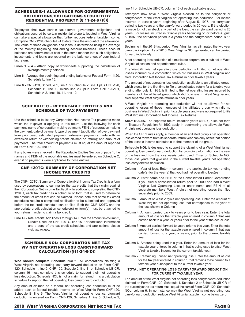#### SCHEDULE B-1 ALLOWANCE FOR GOVERNMENTAL OBLIGATIONS/OBLIGATIONS SECURED BY RESIDENTIAL PROPERTY (§ 11-24-6 (F)))

Taxpayers that own certain tax-exempt government obligations and obligations secured by certain residential property located in West Virginia can take a special allowance that further reduces federal taxable income. Complete CNF-120 Schedule B-1 to determine the amount of the allowance. The value of these obligations and loans is determined using the average of the monthly beginning and ending account balances. These account balances are determined at cost in the same manner that such obligations, investments and loans are reported on the balance sheet of your federal tax return.

- Lines 1 4 Attach copy of worksheets supporting the calculation of average monthly balance.
- **Line 6** Average the beginning and ending balance of Federal Form 1120, Schedule L, line 15.
- **Line 8** CNF-120, Schedule 1, line 1 or Schedule 2, line 1 plus CNF-120, Schedule B, line 12 minus line 23, plus Form CNF-120APT, Schedule A-2, lines 10, 11, and 12.

#### SCHEDULE C – REPORTABLE ENTITIES AND SCHEDULE OF TAX PAYMENTS

Use this schedule to list any Corporation Net Income Tax payments made which the taxpayer is applying to this return. List the following for each payment: name of corporation making payment; FEIN of corporation making the payment; date of payment; type of payment (application of overpayment from prior year, estimated payment, extension payments made with an extension return or withholding credits claimed on return); and amount of payments. The total amount of payments must equal the amount reported on Form CNF-120, line 13.

If any boxes were checked in the Reportable Entities Section of page 1, the names and FEIN of the reportable entities must be entered on Schedule C, even if no payments were applicable to those entities.

#### CNF-120TC: SUMMARY OF CORPORATION NET INCOME TAX CREDITS

The CNF-120TC, Summary of Corporation Net Income Tax Credits, is a form used by corporations to summarize the tax credits that they claim against their Corporation Net Income Tax liability. In addition to completing the CNF-120TC, each tax credit has a schedule or form that is used to determine the amount of credit that can be claimed. Please note that some tax credit schedules require a completed application to be submitted and approved before the tax credit schedule can be filed. Both the CNF-120TC and the appropriate credit calculation schedule(s) or form(s) must be attached to your return in order to claim a tax credit.

**Line 15 -** Total credits: Add lines 1 through 14. Enter the amount in column 2, Credits Used, on CNF-120TC, line 15. For additional information and a copy of the tax credit schedules and applications please visit tax.wv.gov.

#### SCHEDULE NOL: CORPORATION NET TAX WV NET OPERATING LOSS CARRYFORWARD CALCULATION (§11-24-6(D))

**Who should complete Schedule NOL?** All corporations claiming a West Virginia net operating loss carry forward deduction on Form CNF-120, Schedule 1, line 5, CNF-120, Scedule 2, line 11 or Schedule UB-CR, column 16 must complete this schedule to support their net operating loss deduction. Schedule NOL is not a claim for refund. It is a calculation schedule to support the net operating loss carryforward deduction.

Any amount claimed as a federal net operating loss deduction must be added back to federal taxable income on West Virginia Form CNF-120, Schedule B, line 6. The West Virginia net operating loss carryforward deduction is entered on Form CNF-120, Schedule 1, line 5, Schedule 2,

line 11 or Schedule UB-CR, column 16 of each applicable group.

Taxpayers now have a West Virginia election as to the carryback or carryforward of the West Virginia net operating loss deduction. For losses incurred in taxable years beginning after August 5, 1997, the carryback period is two years and the carryforward period is 20 years. If the election is made to not carryback any part of the loss, the carryforward period is 20 years. For losses incurred in taxable years beginning on or before August 5, 1997, the carryback period is 3 years and the carryforward period is 15 years.

Beginning in the 2018 tax period, West Virginia has eliminated the two year carry back option. As of 2018, West Virginia NOL generated can be carried forward indefinitely.

A net operating loss deduction of a multistate corporation is subject to West Virginia allocation and apportionment rules.

The West Virginia net operating loss deduction is limited to net operating losses incurred by a corporation which did business in West Virginia and filed Corporation Net Income Tax Returns in prior taxable years.

The amount of net operating loss deduction available to an affiliated group, which elects for the first time to file a consolidated return for a taxable year ending after July 1, 1988, is limited to the net operating losses incurred by members of the affiliated group which did business in West Virginia and filed separate West Virginia returns in prior years.

A West Virginia net operating loss deduction will not be allowed for net operating losses of those members of the affiliated group which did no business in West Virginia in prior taxable years and were not required to file West Virginia Corporation Net Income Tax Returns.

**SRLY RULES.** The separate return limitation years (SRLY) rules set forth in Treasury Regulation §1.1502 apply in determining the allowable West Virginia net operating loss deduction.

When the SRLY rules apply, a member of an affiliated group's net operating loss carried forward from its separate return year can only offset that portion of the taxable income attributable to that member of the group.

**Schedule NOL** is designed to support the claiming of a West Virginia net operating loss carryforward deduction by providing information on the year of the loss and how the loss was/is being used. Enter on Schedule NOL those loss years that give rise to the current taxable year's net operating loss carryforward deduction.

- Column 1. Year of loss. Enter in column 1 the applicable tax year ending date(s) for the year(s) that you had net operating loss(es).
- Column 2. Enter name and FEIN of the Consolidated Parent Corporation if you filed a consolidated return prior to 2009 and had a West Virginia Net Operating Loss or enter name and FEIN of all separate members' West Virginia net operating losses that filed separately prior to 2009.
- Column 3. Amount of West Virginia net operating loss. Enter the amount of West Virginia net operating loss that corresponds to the year of the loss shown in Column 1.
- Column 4. Amount carried back to years prior to loss year. Enter the total amount of loss for the taxable year entered in column 1 that was carried back to a year, or years prior to the year of the actual loss.
- Column 5. Amount carried forward to years prior to this year. Enter the total amount of loss for the taxable year entered in column 1 that was carried forward to a year, or years, prior to the current taxable year.
- Column 6. Amount being used this year. Enter the amount of loss for the taxable year entered in column 1 that is being used to offset West Virginia taxable income for the current taxable year.
- Column 7. Remaining unused net operating loss. Enter the amount of loss for the tax year entered in column 1 that remains to be carried to a taxable year subsequent to the current taxable year.

#### **TOTAL NET OPERATING LOSS CARRYFORWARD DEDUCTION FOR CURRENT TAXABLE YEAR.**

The amount of the West Virginia net operating loss carryforward deduction claimed on Form CNF-120, Schedule 1, Schedule 2 or Schedule UB-CR of the current year's tax return must equal the sum of Form CNF-120, Schedule NOL, column 6. In no instance may the West Virginia net operating loss carryforward deduction reduce West Virginia taxable income below zero.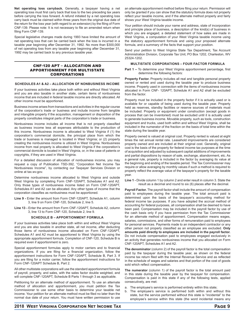**Net operating loss carryback.** Generally, a taxpayer having a net operating loss must first carry back that loss to the two preceding tax years before carrying the loss forward. A refund initiated by a net operating loss carry back must be claimed within three years from the original due date of the return for the loss year (with regard to an extension) by the filing of Form CNF-139. Please note: It is not necessary to file an amended return when filing Form CNF-139.

Special legislative changes made during 1993 have limited the amount of net operating loss that can be carried back when the loss is incurred in a taxable year beginning after December 31, 1992. No more than \$300,000 of net operating loss from any taxable year beginning after December 31, 1992 may be carried back to any previous taxable year.

#### CNF-120 APT – ALLOCATION AND APPORTIONMENT FOR MULTISTATE CORPORATIONS

#### **SCHEDULES A1 & A2 – ALLOCATION OF NONBUSINESS INCOME**

If your business activities take place both within and without West Virginia and you are also taxable in another state, certain items of nonbusiness income that are included in federal taxable income are directly allocated. All other income must be apportioned.

Business income arises from transactions and activities in the regular course of the corporation's trade or business and include income from tangible and intangible property if the acquisition, management or disposition of the property constitutes integral parts of the corporation's trade or business.

Nonbusiness income includes all income that is not properly classified as business income less all expenses attributable to the production of this income. Nonbusiness income is allocated to West Virginia if (1) the corporation's commercial domicile, the principal place from which the trade or business is managed is located in West Virginia; or (2) property creating the nonbusiness income is utilized in West Virginia. Nonbusiness income from real property is allocated to West Virginia if the corporation's commercial domicile is located in West Virginia, or, in the case of patents or copyrights, if they are used in West Virginia.

For a detailed discussion of allocation of nonbusiness income, you may request a copy of Publication TSD-392, "Corporation Net Income Tax Nonbusiness Income", by contacting our Taxpayer Services Division or online at tax.wv.gov.

Determine nonbusiness income allocated to West Virginia and outside West Virginia by completing Form CNF-120APT, Schedules A1 and A2. Only those types of nonbusiness income listed on Form CNF-120APT, Schedules A1 and A2 can be allocated. Any other types of income that the corporation classifies as nonbusiness must be apportioned.

- **Line 9** Enter the amount from Form CNF-120APT, Schedule A1, column 3, line 9 on Form CNF-120, Schedule 2, line 5.
- **Line 13** Enter the amount from Form CNF-120APT, Schedule A2, column 3, line 13 to Form CNF-120, Schedule 2, line 9.

#### **SCHEDULE B – APPORTIONMENT FORMULA**

If your business activities take place both within and without West Virginia and you are also taxable in another state, all net income, after deducting those items of nonbusiness income allocated on Form CNF-120APT, Schedules A1 and A2 must be apportioned to West Virginia by using the appropriate apportionment formula. Completion of CNF-120, Schedule B is required even if apportionment is zero.

Special apportionment formulas apply to motor carriers and to financial organizations. If you are filing for a financial organization, follow the apportionment instructions for Form CNF-120APT, Schedule B, Part 3. If you are filing for a motor carrier, follow the apportionment instructions for Form CNF-120APT Schedule B, Part 2.

All other multistate corporations will use the standard apportionment formula of payroll, property, and sales, with the sales factor double weighted, and will complete CNF-120APT, Schedule B Parts 1 through 3 as applicable.

Petitioning for an alternate method of apportionment. To use an alternate method of allocation and apportionment, you must petition the Tax Commissioner to use some other basis to determine your taxable net income. Your petition for an alternate method must be filed no later than the normal due date of your return. You must have written permission to use

an alternate apportionment method before filing your return. Permission will only be granted if you can show that the statutory formula does not properly reflect your taxable income, and if the alternate method properly and fairly shows your West Virginia taxable income.

Your petition should include your name and address, state of incorporation and principle place of business, a description of the kind(s) of business in which you are engaged, a detailed statement of how sales are made in West Virginia, a computation of your West Virginia taxable income using the statutory apportionment formula and using your proposed alternate formula, and a summary of the facts that support your position.

Send your petition to West Virginia State Tax Department, Tax Account Administration Division, Corporate Tax Unit, PO Box 1202, Charleston, WV 25324-1202.

#### **MULTISTATE CORPORATIONS – FOUR FACTOR FORMULA**

**Part 1 – To determine your West Virginia apportionment percentage, first** determine the following factors:

**Property Factor.** Property includes all real and tangible personal property owned or rented and used during the taxable year to produce business income. Property used in connection with the items of nonbusiness income allocated in Form CNF- 120APT, Schedule A1 and A2 shall be excluded from the factor.

Property must be included in the property factor if it is actually used or is available for or capable of being used during the taxable year. Property held as reserves, standby facilities or reserve sources of materials must be included. Property or equipment under construction (except goods in process that can be inventoried) must be excluded until it is actually used to generate business income. Movable property, such as tools, construction equipment and trucks, used both within and without West Virginia, shall be included in the numerator of the fraction on the basis of total time within the state during the taxable year.

Property owned is valued at original cost. Property rented is valued at eight times the net annual rental rate. Leasehold improvements are considered property owned and are included at their original cost. Generally, original cost is the basis of the property for federal income tax purposes at the time of acquisition and adjusted by subsequent capital additions of improvements and partial dispositions by reason of sale, exchange, abandonment, etc. As a general rule, property is included in the factor by averaging its value at the beginning and ending of the taxable period. The Tax Commissioner may require or allow averaging by monthly values if such a method is required to properly reflect the average value of the taxpayer's property for the taxable year.

**Line 1 -** Divide column 1 by column 2 and enter result in column 3. State the result as a decimal and round to six (6) places after the decimal.

**Payroll Factor.** The payroll factor shall include the amount of compensation paid to employees during the taxable year. The total amount paid is determined upon the basis of the taxpayer's accounting method for federal income tax purposes. If you have adopted the accrual method of accounting for federal purposes, all compensation shall be deemed to have been paid. Compensation may be included in the payroll factor by use of the cash basis only if you have permission from the Tax Commissioner for an alternate method of apportionment. Compensation means wages, salaries, commissions, and other forms of remuneration paid to employees for personal services. Payments made to an independent contractor or any other person not properly classified as an employee are excluded. Only **amounts paid directly to employees are included in the payroll factor.** Do not include compensation paid to employees engaged exclusively in an activity that generates nonbusiness income that you allocated on Form CNF-120APT, Schedules A1 and A2.

**The denominator** (column 2) of the payroll factor is the total compensation paid by the taxpayer during the taxable year, as shown on the federal income tax return filed with the Internal Revenue Service and as reflected in the schedule of wages and salaries and that portion of the cost of goods sold which reflect compensation.

**The numerator** (column 1) of the payroll factor is the total amount paid in this state during the taxable year by the taxpayer for compensation. Compensation is paid in this state if any of the following tests, applied consecutively, are met:

- a. The employee's service is performed entirely within this state;
- b. The employee's service is performed both within and without this state, but the service performed without this state is "incidental" to the employee's service within this state (the word incidental means any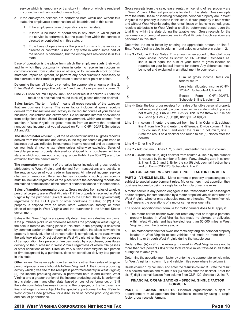service which is temporary or transitory in nature or which is rendered in connection with an isolated transaction);

- c. If the employee's services are performed both within and without this state, the employee's compensation will be attributed to this state:
	- 1. If the employee's base of operations is in this state;
	- 2. If there is no base of operations in any state in which part of the service is performed, but the place from which the service is directed or controlled is in this state; or
	- 3. If the base of operations or the place from which the service is directed or controlled is not in any state in which some part of the service is performed, but the employee's residence is in this state.

Base of operation is the place from which the employee starts their work and to which they customarily return in order to receive instructions or communications from customers or others, or to replenish stock or other materials, repair equipment, or perform any other functions necessary to the exercise of their trade or profession at some other point or points.

Determine the payroll factor by entering the appropriate amounts on line 2. Enter West Virginia payroll in column 1 and payroll everywhere in column 2.

**Line 2 -** Divide column 1 by column 2 and enter result in column 3. State the result as a decimal and round to six (6) places after the decimal

**Sales factor.** The term "sales" means all gross receipts of the taxpayer that are business income. The sales factor includes all gross receipts derived from transactions and activity in the regular course of your trade or business, less returns and allowances. Do not include interest or dividends from obligations of the United States government, which are exempt from taxation in West Virginia, or gross receipts from an activity that produced nonbusiness income that you allocated on Form CNF-120APT, Schedules A1 and A2.

**The denominator** (column 2) of the sales factor includes all gross receipts derived from transactions and activity in the regular course of your trade or business that was reflected in your gross income reported and as appearing on your federal income tax return unless otherwise excluded. Sales of tangible personal property delivered or shipped to a purchaser within a state in which you are not taxed (e.g. under Public Law 86-272) are to be excluded from the denominator.

**The numerator** (column 1) of the sales factor includes all gross receipts attributable to West Virginia and derived from transactions and activity in the regular course of your trade or business. All interest income, service charges or time-price differential charges incidental to such gross receipts must be included regardless of the place where the accounting records are maintained or the location of the contract or other evidence of indebtedness.

**Sales of tangible personal property.** Gross receipts from sales of tangible personal property are in West Virginia (1) if the property is received in West Virginia by the purchaser (except sales to the United States government) regardless of the F.O.B. point or other conditions of sales; or (2) if the property is shipped from an office, store, warehouse, factory, or other place of storage in West Virginia and the purchaser is the United States government.

Sales within West Virginia are generally determined on a destination basis. If the purchaser picks up or otherwise receives the property in West Virginia, the sale is treated as taking place in this state. If the property is delivered by common carrier or other means of transportation, the place at which the property is received, after all transportation is completed, is the place where the sale took place. Direct delivery in West Virginia, other than for purposes of transportation, to a person or firm designated by a purchaser, constitutes delivery to the purchaser in West Virginia regardless of where title passes or other conditions of sale. Direct delivery outside West Virginia, to a person or firm designated by a purchaser, does not constitute delivery to a person in this state.

**Other sales.** Gross receipts from transactions other than sales of tangible personal property are attributable to West Virginia if (1) the income producing activity which gives rise to the receipts is performed entirely in West Virginia; (2) the income producing activity is performed both in and outside West Virginia and a greater portion of the income producing activity is performed in this state than in any other state, based on cost of performance; or (3) if the sale constitutes business income to the taxpayer, or the taxpayer is a financial organization subject to the special apportionment rules. Refer to West Virginia Code §11-24-7 for a discussion of income producing activity and cost of performance.

Gross receipts from the sale, lease, rental, or licensing of real property are in West Virginia if the real property is located in this state. Gross receipts from the rental, lease or licensing of tangible personal property are in West Virginia if the property is located in this state. If such property is both within and without West Virginia during the rental, lease or licensing period, gross receipts attributable to West Virginia shall be determined based upon the total time within the state during the taxable year. Gross receipts for the performance of personal services are in West Virginia if such services are performed in this state.

Determine the sales factor by entering the appropriate amount on line 3. Enter West Virginia sales in column 1 and sales everywhere in column 2.

**Line 3 -** Column 2. Total Sales. This amount when added to the total gross nonbusiness income as shown on CNF-120APT, Schedule A1, line 9, must equal the sum of your items of gross income as reported on your federal income tax return. Any differences must be noted and explained in an attachment to your return.

| Sum of gross income items on<br>federal return                    |
|-------------------------------------------------------------------|
| Less total allocated income (CNF-<br>120APT, Schedule A1, line 9) |
| Equals Form CNF-120APT,<br>Schedule B, line3, column 2            |

- **Line 4** Enter the total gross receipts from sales of tangible personal property delivered or shipped to a purchaser within a state in which you are not taxed (e.g. Public Law 86-272). This is the throw out rule per WV Code §11-24-7(e)(11)(B) and §11-23-5(l)(2).
- **Line 5** In column 1, enter the amount from line 3. In Column 2, subtract line 4 from line 3 and enter the difference. Divide column 1, line 5 by column 2, line 5 and enter the result in column 3, line 5. State the result as a decimal and round to six (6) places after the decimal.
- **Line 6** Enter line 5 again.

**Line 7 -** Add column 3, lines 1, 2, 5, and 6 and enter the sum in column 3.

**Line 8 -** Divide the six (6) digit decimal from column 3, line 7 by the number 4, reduced by the number of factors, if any, showing zero in column 2, lines 1, 2, 5, and 6. Enter the six (6) digit decimal fraction here and on Form CNF-120, Schedule 2, line 7.

#### **MOTOR CARRIERS – SPECIAL SINGLE FACTOR FORMULA**

**PART 2 – VEHICLE MILES.** Motor carriers of property or passengers are subject to special apportionment rules. Motor carriers must apportion their business income by using a single factor formula of vehicle miles.

A motor carrier is any person engaged in the transportation of passengers and/or property for compensation by a motor propelled vehicle over roads in West Virginia, whether on a scheduled route or otherwise. The term "vehicle miles" means the operations of a motor carrier over one mile.

The special apportionment formula for motor carriers does NOT apply if:

- a. The motor carrier neither owns nor rents any real or tangible personal property located in West Virginia, has made no pickups or deliveries within West Virginia, and has traveled less than 50,000 miles in West Virginia during the taxable year; or
- b. The motor carrier neither owns nor rents any tangible personal property located in West Virginia except vehicles and made no more than 12 trips into or through West Virginia during the taxable year.

Under either (A) or (B), the mileage traveled in West Virginia may not be more than five percent (.05) of the total vehicle miles traveled in all states during the taxable year.

Determine the apportionment factor by entering the appropriate vehicle miles for West Virginia in column 1, and vehicle miles everywhere in column 2.

Divide column 1 by column 2 and enter the result in column 3. State the result as a decimal fraction and round to six (6) places after the decimal. Enter the six (6) digit decimal fraction from column 3 on CNF-120, Schedule 2, line 7.

#### **FINANCIAL ORGANIZATIONS – SPECIAL SINGLE FACTOR FORMULA**

**PART 3 – GROSS RECEIPTS.** Financial organizations subject to apportionment must apportion their business income by using a single factor gross receipts formula.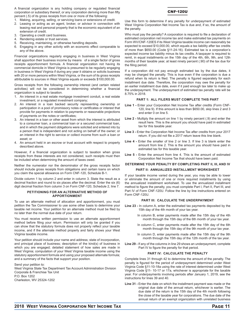A financial organization is any holding company or regulated financial corporation or subsidiary thereof, or any corporation deriving more than fifty percent (.5) of its gross receipts from one or more of the following:

- 1. Making, acquiring, selling, or servicing loans or extensions of credit.
- 2. Leasing or acting as an agent, broker, or advisor in connection with leasing real and personal property that is the economic equivalent of an extension of credit.
- 3. Operating a credit card business.
- 4. Rendering estate or trust services.
- 5. Receiving, maintaining, or otherwise handling deposits.
- 6. Engaging in any other activity with an economic effect comparable to any of the above.

Financial organizations regularly engaging in business in West Virginia shall apportion their business income by means of a single factor of gross receipts apportionment formula. A financial organization not having its commercial domicile in West Virginia is presumed to be regularly engaging in business in West Virginia if during any year it obtains or solicits business with 20 or more persons within West Virginia, or the sum of its gross receipts attributable to sources in West Virginia equals or exceeds \$100,000.00.

Gross receipts from the following ownership interest (and certain related activities) will not be considered in determining whether a financial organization is subject to taxation.

- 1. An interest in a real estate mortgage investment conduit, a real estate investment, or a regulated investment company;
- 2. An interest in a loan backed security representing ownership or participation in a pool of promissory notes or certificates or interest that provide for payments in relation to payments or reasonable projections of payments on the notes or certificates:
- 3. An interest in a loan or other asset from which the interest is attributed to a consumer loan, a commercial loan or a secured commercial loan, and in which the payment obligations were solicited and entered into by a person that is independent and not acting on behalf of the owner; or an interest in the right to service or collect income from such a loan or asset; or
- 4. An amount held in an escrow or trust account with respect to property described above.

However, if a financial organization is subject to taxation when gross receipts from these interests are not considered, such receipts must then be included when determining the amount of taxes owed.

Neither the numerator nor the denominator of the gross receipts factor should include gross receipts from obligations and certain loans on which you claim the special allowance on Form CNF-120, Schedule B-1.

Divide column 1 by column 2 and enter in column 3. State the result as a decimal fraction and round to six places after the decimal. Enter the six (6) digit decimal fraction from column 3 on Form CNF-120, Schedule 2, line 7.

#### **PETITIONING FOR AN ALTERNATIVE METHOD OF APPORTIONMENT**

To use an alternate method of allocation and apportionment, you must petition the Tax Commissioner to use some other basis to determine your taxable net income. Your petition for an alternate method must be filed by no later than the normal due date of your return.

You must receive written permission to use an alternate apportionment method before filing your return. Permission will only be granted if you can show that the statutory formula does not properly reflect your taxable income, and if the alternate method properly and fairly shows your West Virginia taxable income.

Your petition should include your name and address; state of incorporation, and principal place of business; description of the kind(s) of business in which you are engaged; detailed statement of how sales are made in West Virginia; computation of your West Virginia taxable income using the statutory apportionment formula and using your proposed alternate formula; and a summary of the facts that support your position.

Send your petition to:

West Virginia State Tax Department Tax Account Administration Division Corporate & Franchise Tax Unit P.O. Box 1202 Charleston, WV 25324-1202



Use this form to determine if any penalty for underpayment of estimated West Virginia Corporation Net Income Tax is due and, if so, the amount of the penalty.

Who must pay the penalty? A corporation is required to file a declaration of estimated corporation net income tax and make estimated tax payments on Form WV/CNF-120ES if its West Virginia taxable income can reasonably be expected to exceed \$10,000.00, which equals a tax liability after tax credits of more than \$650.00 (Code §11-24-16). Estimated tax is a corporation's expected income tax liability minus its tax credits. A taxpayer is required to remit, in equal installments on the 15th day of the 4th, 6th, 9th, and 12th months of their taxable year, at least ninety percent (.90) of the tax due for the filing period.

If a corporation did not pay enough estimated tax by the due dates, it may be charged the penalty. This is true even if the corporation is due a refund when its return is filed. The penalty is figured separately for each installment due date. Therefore, the corporation may owe the penalty for an earlier installment due date, even if it paid enough tax later to make up the underpayment. The underpayment of estimated tax penalty rate will be 8.75% in 2018.

#### **PART 1: ALL FILERS MUST COMPLETE THIS PART**

- **Line 1 -** Enter your Corporation Net Income Tax after credits (Form CNF-120, line 9). If this amount is less than \$650.00, skip lines 2 and 3 and enter 0 on line 5.
- **Line 2 -** Multiply the amount on line 1 by ninety percent (.9) and enter the result here. This is the amount you should have paid in estimated tax for this taxable year.
- **Line 3** Enter the Corporation Net Income Tax after credits from your 2017 return. If you did not file a 2017 return leave this line blank.
- Line 4 Enter the smaller of line 2 or line 3. If line 3 is blank enter the amount from line 2. This is the amount you should have paid in estimated tax for this taxable year.
- Line 5 Enter the amount from line 4. This is the amount of estimated Corporation Net Income Tax that should have been paid.

#### **DETERMINE YOUR PENALTY BY COMPLETING PART II, III, AND IV PART II: ANNUALIZED INSTALLMENT WORKSHEET**

If your taxable income varied during the year, you may be able to lower or eliminate the amount of one or more required installments by using the annualized installment worksheet. To use the annualized installment method to figure the penalty, you must complete Part I, Part II, Part III, and Part IV of Form CNF-120U. Follow the line by line instructions entered on Form CNF-120U.

#### **PART III: CALCULATE THE UNDERPAYMENT**

- **Line 23** In column A, enter the estimated tax payments deposited by the 15th day of the 4th month of your tax year.
	- In column B, enter payments made after the 15th day of the 4th month through the 15th day of the 6th month of your tax year.
	- In column C, enter payments made after the 15th day of the 6th month through the 15th day of the 9th month of your tax year.
	- In column D, enter payments made after the 15th day of the 9th month through the 15th day of the 12th month of the tax year.
- **Line 29** If any of the columns in line 29 shows an underpayment, complete Part IV to figure the penalty for that period.

#### **PART IV: CALCULATE THE PENALTY**

Complete lines 31 through 42 to determine the amount of the penalty. The penalty is figured for the period of underpayment determined under West Virginia Code §11-10-18a using the rate of interest determined under West Virginia Code §11- 10-17 or 17a, whichever is appropriate for the taxable year. For underpayments involving periods after January 1, 2019, see the instructions for lines 39 and 40.

**Line 31 -** Enter the date on which the installment payment was made or the original due date of the annual return, whichever is earlier. The due date of the return is the 15th day of the 4th month following the close of the taxable year for corporations. The due date of the annual return of an exempt organization with unrelated business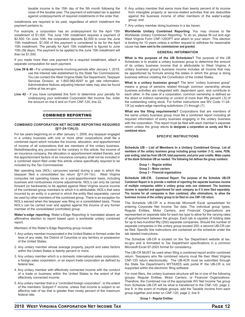taxable income is the 15th day of the 5th month following the close of the taxable year. The payment of estimated tax is applied against underpayments of required installments in the order that

installments are required to be paid, regardless of which installment the payment pertains to.

For example, a corporation has an underpayment for the April 15th installment of \$1,000. The June 15th installment requires a payment of \$2,500. On June 10th, the corporation deposits \$2,500 to cover the June 15th installment. \$1,000 of this payment is considered to be for the April 15th installment. The penalty for April 15th installment is figured to June 10th (56 days). The payment to be applied to the June 15th installment will then be \$1,500.

If you made more than one payment for a required installment, attach a separate computation for each payment.

- **Line 39 & 40** For underpayments involving periods after January 1, 2019, use the interest rate established by the State Tax Commissioner. You can contact the West Virginia State Tax Department, Taxpayer Services Division, at 1-800-982-8297 to get rate information. Administrative Notices adjusting interest rates may also be found online at tax.wv.gov.
- **Line 42** If you have completed this form to determine your penalty for underpaying your estimated Corporation Net Income Tax, enter the amount on line 6 and on Form CNF-120, line 22.

#### COMBINED REPORTING

#### **COMBINED CORPORATION NET INCOME REPORTING REQUIRED (§11-24-13A(J)).**

For tax years beginning on or after January 1, 2009, any taxpayer engaged in a unitary business with one or more other corporations shall file a combined report which includes the income, allocation, and apportionment of income of all corporations that are members of the unitary business. Notwithstanding any provision to the contrary in this article, the income of an insurance company, the allocation or apportionment related thereto, and the apportionment factors of an insurance company shall not be included in a combined report filed under this article unless specifically required to be included by the Tax Commissioner.

Net operating loss (NOL) carryovers earned during a year in which the taxpayer filed a consolidated tax return (§11-24-13c). West Virginia computes net operating losses on a post-apportionment basis, including business and nonbusiness income adjustments. NOL's can only be carried forward (or backwards) to be applied against West Virginia source income of the combined group members to which it is attributable. NOL's that were incurred by an entity in a period in which the entity filed separately, cannot be used by other members of the combined group. There is an exception for NOL's earned when the taxpayer was filing on a consolidated basis. Those NOL's can be carried over and applied against the income of any former member of the consolidated (controlled) group.

**Water's-edge reporting.** Water's-Edge Reporting is mandated absent an affirmative election to report based upon a worldwide unitary combined report.

Members of the Water's-Edge Reporting group include:

- 1. Any unitary member incorporated in the United States or formed under the laws of any state, the District of Columbia or any territory or possession of the United States;
- 2. Any unitary member whose average property, payroll and sales factors within the United States is twenty percent or more;
- 3. Any unitary member which is a domestic international sales corporation, a foreign sales corporation, or an export trade corporation as defined by federal law;
- 4. Any unitary member with effectively connected income with the conduct of a trade or business within the United States to the extent of that effectively connected income;
- 5. Any unitary member that is a "controlled foreign corporation", to the extent of the members' Subpart F income, unless that income is subject to an effective rate of tax that is greater than ninety percent of the maximum federal rate;

6. Any unitary member that earns more than twenty percent of its income from intangible property or service-related activities that are deductible against the business income of other members of the water's-edge group; and

7. Any unitary member doing business in a tax haven.

Worldwide Unitary Combined Reporting: You may choose to file Worldwide Unitary Combined Reporting. To do so, please fill out and sign West Virginia Form CNF-120OPT and attach to your return. This election is binding for 10 years unless a written request to withdraw for reasonable cause has **been sent to the commissioner and granted.**

#### **GENERAL INFORMATION**

**What is the purpose of the UB Schedules?** The purpose of the UB Schedules is to enable a unitary business group to determine the amount of its unitary business income that is attributable to West Virginia. A unitary business group's business income includes all income that may be apportioned by formula among the states in which the group is doing business without violating the Constitution of the United States.

**What is a unitary business group?** The term "unitary business group" means a group of persons related through common ownership whose business activities are integrated with, dependent upon, and contribute to each other. In the case of a corporation, common ownership is defined as the direct or indirect ownership or control of more than fifty percent (.5) of the outstanding voting stock. For further instructions see WV Code 11-24- 13f (a) waters-edge reporting-subdivision (1) through (7).

What are the filing requirements? Corporations that are members of the same unitary business group must file a combined report including all required information of every business engaging in the unitary business with the corporation. This report must be filed with each member's separate return unless the group elects to designate a corporation as surety and file a **combined return.**

#### **SPECIFIC INSTRUCTIONS**

**Schedule UB – List of Members In a Unitary Combined Group. List all members of the unitary business group including group number (1-3), name, FEIN, year ending, total tax from UB-CR, total payments, and prior year credits. Make copies of the blank Schedule UB as needed. The following list defi nes the group numbers:**

> **Group 1 – Regular entities Group 2 – Motor carriers Group 3 – Financial organizations**

**Schedule UB-CR. Combined Report. The purpose of the Schedule UB-CR Combined Report is to provide a method of reporting the separate business income of multiple companies within a unitary group onto one statement. The business**  income is reported and apportioned for each company as if it were filed separately. **The income for all companies is then combined, after eliminations, to allow the**  business income of the unitary group to be filed on one CNF-120 return.

The Schedule UB-CR is a three-tab Microsoft Excel spreadsheet for entering Corporate Net Income Tax data. The individual group types, Regular Entities, Motor Carriers, and Financial Organizations are represented on separate tabs for each tax type to allow for the varying rates of apportionment between the groups. Each tab is capable of holding data for up to two-hundred fifty (250) separate companies. Should the number of separate companies in the unitary group exceed 250; a second UB-CR can be filed. Specific line instructions are contained on the schedule under the tab labeled Instructions.

The Schedule UB-CR is located on the Tax Department website at tax. wv.gov and is formatted to Tax Department specifications in a common Microsoft Excel 97-2003 format for consistency.

The UB-CR MUST be used when filing a combined report and/or combined return. Taxpayers who file combined returns must file their West Virginia CNF-120 return electronically. The UB-4CR must be submitted through the State Tax Department's MYTAXES web portal IF the UB-CR is not supported within the electronic filing software.

For most filers, the unitary business structure will be in one of the following groups: Regular Entities, Motor Carriers, or Financial Organizations. Therefore, the Combined row of the appropriate WV Net Income Tax group from Schedule UB-CR will be what is transferred to the CNF-120, page 2, line 9. In the event of multiple groups, add the Taxable Income from each group together and enter on CNF-120, page 2, line 9.

**Group 1 - Regular Entities**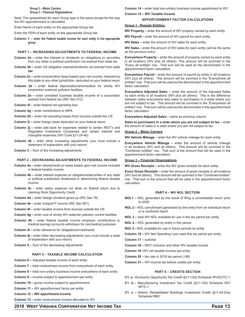#### **Group 2 – Motor Carriers Group 3 – Financial Organizations**

Note: The spreadsheet for each Group type is the same except for the way the WV apportionment is calculated.

Enter Name of each entity on the appropriate Group tab

Enter the FEIN of each entity on the appropriate Group tab

**Column 1 – enter the Federal taxable income for each entity in the appropriate group**

#### **PART 1 – INCREASING ADJUSTMENTS TO FEDERAL INCOME**

- **Column 2a –** enter the interest or dividends on obligations or securities from any state or political subdivision not exempt from state tax.
- **Column 2b –** enter US obligation interest/dividends not exempt from state **tax**
- **Column 2c** enter income/other taxes based upon net income, imposed by this state or any other jurisdiction, deducted on your federal return
- **Column 2d** enter federal depreciation/amortization for wholly WV corporation water/air pollution facilities
- **Column 2e –** enter unrelated business taxable income of a corporation exempt from federal tax (IRC Sec 512)
- **Column 2f** enter federal net operating loss
- **Column 2g** enter contributions to NIPA
- **Column 2h** enter net operating losses from sources outside the US
- **Column 2i** enter foreign taxes deducted on your federal return
- **Column 2j** enter add back for expenses related to certain REIT's and Regulated Investment Companies and certain interest and intangible expenses (WV Code §11-24-4b)
- **Column 2k –** enter other increasing adjustments (you must include a statement of explanation with your return)
- **Column 3 –** Sum of the increasing adjustments

#### **PART 2 – DECREASING ADJUSTMENTS TO FEDERAL INCOME**

- **Column 4a –** enter refund/credit on taxes based upon net income included in federal taxable income
- **Column 4b –** enter interest expense on obligations/securities of any state or political subdivision disallowed in determining federal taxable income
- **Column 4c** enter salary expense not allow on federal return due to claiming Work Opportunity Credit
- **Column 4d** enter foreign dividend gross-up (IRC Sec 78)
- **Column 4e –** enter Subpart F income (IRC Sec 951)
- **Column 4f –** enter taxable income from sources outside the US
- **Column 4g –** enter cost of wholly WV water/air pollution control facilities
- **Column 4h –** enter federal taxable income employer contributions to medical savings accounts withdrawn for nonmedical purposes
- **Column 4i –** enter allowance for obligations/investments
- **Column 4j** enter other decreasing adjustments (you must include a state of explanation with your return)
- **Column 5** Sum of the decreasing adjustments

#### **PART 3 – TAXABLE INCOME CALCULATION**

- **Column 6** Adjusted taxable income of each entity
- **Column 7 –** total nonbusiness income from everywhere of each entity
- **Column 8 –** total non-unitary business income everywhere of each entity
- **Column 9 –** income subject to apportionment per entity
- **Column 10** group income subject to apportionment
- **Column 11** WV apportionment factor per entity
- **Column 12 WV apportioned income**

**Column 13 –** enter nonbusiness income allocated to WV

**Column 14 –** enter total non-unitary business income apportioned to WV

**Column 15 – WV Taxable Income**

#### **APPORTIONMENT FACTOR CALCULATIONS**

#### **Group 1 - Regular Entities:**

**WV Property –** enter the amount of WV property owned by each entity

**WV Payroll –** enter the amount of WV payroll for each entity

**WV Sales –** enter the amount of WV sales for each entity

**WV Sales –** enter the amount of WV sales for each entity (will be the same as the previous entry)

**Everywhere Property –** enter the amount of property owned by each entity in all locations (WV plus all others). This amount will be summed in the "Every all entities" row. That sum will be used as the denominator in the apportionment factor calculation.

**Everywhere Payroll –** enter the amount of payroll by entity in all locations (WV plus all others). This amount will be summed in the "Everywhere all entities" row. That sum will be used as the denominator in the apportionment factor calculation.

**Everywhere Adjusted Sales –** enter the amount of the Adjusted Sales by each entity in all locations (WV plus all others). This is the difference between sales everywhere less sales to purchasers in a state where you are not subject to tax. This amount will be summed in the "Everywhere all entities" row. That sum will be used as the denominator in the apportionment factor calculation.

**Everywhere Adjusted Sales –** same as previous column

**Sales to purchasers in a state where you are not subject to tax –** enter the amount of sales in a state where you are not subject to tax.

#### **Group 2 – Motor Carriers**

**WV Vehicle Mileage –** enter the WV vehicle mileage for each entity

**Everywhere Vehicle Mileage –** enter the amount of vehicle mileage in all locations (WV and all others). This amount will be summed in the "Combined entities" row. That sum is the amount that will be used in the apportionment factor calculation.

#### **Group 3 – Financial Organizations**

**WV Gross Receipts –** enter the WV gross receipts for each entity

**Every Gross Receipts –** enter the amount of gross receipts in all locations (WV and all others). This amount will be summed in the "Combined entities" row. That sum is the amount that will be used in the apportionment factor calculation.

#### **PART 4 – WV NOL SECTION**

- **NOL1 NOL** generated as the result of filing a consolidated return prior to 2009
- **NOL 2** NOL carryforward generated by the entity from an individual return or a combined report
- **NOL 3** total WV NOL available for use in the tax period per entity
- **NOL 4 –** NOL generated by entity in this period
- **NOL 5** NOL available for use in future periods by entity
- **Column 16** WV Net Operating Loss used this tax period per entity
- **Column 17 –** subtotal
- **Column 18** REIT inclusion and other WV taxable income
- **Column 19 -**WV net taxable income per entity
- **Column 20 –** tax rate in 2018 tax period (.065
- **Column 21 –** WV income tax before credits per entity

#### **PART 5 – CREDITS SECTION**

**C1. a -** Economic Opportunity Tax Credit (§11-13Q) Schedule WV/EOTC-1

- **C1. b** Manufacturing Investment Tax Credit (§11-13S) Schedule WV/ MITC<sub>-1</sub>
- **C1. c** Historic Rehabilitated Buildings Investment Credit (§11-24-23a) Schedule RBIC

**2018 WEST VIRGINIA CORPORATION NET INCOME TAX COMBLEMS PAGE 13**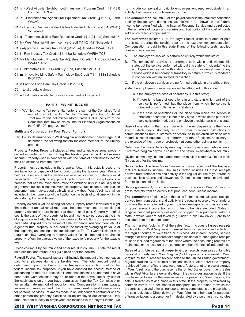- **C1. d** West Virginia Neighborhood Investment Program Credit (§11-13J) Form WV/NIPA-2
- **C1. e -** Environmental Agricultural Equipment Tax Credit (§11-13k) Form WV/AG-1
- **C1. f -** Electric, Gas, and Water Utilities Rate Reduction Credit (§11-24-11) Schedule L
- **C1. g** Telephone Utilities Rate Reduction Credit (§11-24-11a) Schedule K
- **C1. h -** West Virginia Military Incentive Credit (§11-24-12) Schedule J
- **C1. i -**Apprentice Training Tax Credit (§11-13w) Schedule WV/ATTC-1
- **C1. j -** Film Industry Tax Credit (§11-13x) Schedule WVFIIA-TCS
- **C1. k** Manufacturing Property Tax Adjustment Credit (§11-13Y) Schedule WV/MPTAC-1
- **C1. l** Alternative Fuel Tax Credit (§11-6d) Schedule AFTC-1
- **C1. m-** Innovative Mine Safety Technology Tax Credit (§11-13BB) Schedule IMSTTC-1
- **C1. n** Farm to Food Bank Tax Credit (§11-13DD)
- *C2. –* total credits claimed
- **C3. –** total credits available for use by each entity this period

#### **PART 5 – WV NET INCOME**

**C4 –** WV Net Income Tax per entity (enter the sum of the Combined Total row of this column for Regular Entities, plus the Combined Total row of this column for Motor Carriers plus the sum of the Combined Total row of this column for Financial Organizations on the CNF-100, page 2, line 9).

#### **Multistate Corporations – Four Factor Formula**

Part 1 – To determine your West Virginia apportionment percentage, first determine the following factors for each member of the unitary groups:

**Property Factor.** Property includes all real and tangible personal property owned or rented and used during the taxable year to produce business income. Property used in connection with the items of nonbusiness income shall be excluded from the factor.

Property must be included in the property factor if it is actually used or is available for or capable of being used during the taxable year. Property held as reserves, standby facilities or reserve sources of materials must be included. Property or equipment under construction (except goods in process that can be inventoried) must be excluded until it is actually used to generate business income. Movable property, such as tools, construction equipment and trucks, used both within and without West Virginia, shall be included in the numerator of the fraction on the basis of total time within the state during the taxable year.

Property owned is valued at original cost. Property rented is valued at eight times the net annual rental rate. Leasehold improvements are considered property owned and are included at their original cost. Generally, original cost is the basis of the property for federal income tax purposes at the time of acquisition and adjusted by subsequent capital additions of improvements and partial dispositions by reason of sale, exchange, abandonment, etc. As a general rule, property is included in the factor by averaging its value at the beginning and ending of the taxable period. The Tax Commissioner may require or allow averaging by monthly values if such a method is required to properly reflect the average value of the taxpayer's property for the taxable year.

Divide column 1 by column 2 and enter result in column 3. State the result as a decimal and round to six (6) places after the decimal.

**Payroll Factor.** The payroll factor shall include the amount of compensation paid to employees during the taxable year. The total amount paid is determined upon the basis of the taxpayer's accounting method for federal income tax purposes. If you have adopted the accrual method of accounting for federal purposes, all compensation shall be deemed to have been paid. Compensation may be included in the payroll factor by use of the cash basis only if you have permission from the Tax Commissioner for an alternate method of apportionment. Compensation means wages, salaries, commissions, and other forms of remuneration paid to employees for personal services. Payments made to an independent contractor or any other person not properly classified as an employee are excluded. Only amounts paid directly to employees are included in the payroll factor. Do

not include compensation paid to employees engaged exclusively in an activity that generates nonbusiness income.

**The denominator** (column 2) of the payroll factor is the total compensation paid by the taxpayer during the taxable year, as shown on the federal income tax return filed with the Internal Revenue Service and as reflected in the schedule of wages and salaries and that portion of the cost of goods sold which reflect compensation.

**The numerator** (column 1) of the payroll factor is the total amount paid in this state during the taxable year by the taxpayer for compensation. Compensation is paid in this state if any of the following tests, applied consecutively, are met:

- A. The employee's service is performed entirely within this state;
- B. The employee's service is performed both within and without this state, but the service performed without this state is "incidental" to the employee's service within this state (the word incidental means any service which is temporary or transitory in nature or which is rendered in connection with an isolated transaction);
- C. If the employee's services are performed both within and without this

state, the employee's compensation will be attributed to this state:

- a. if the employee's base of operations is in this state;
- b. if there is no base of operations in any state in which part of the service is performed, but the place from which the service is directed or controlled is in this state; or
- c. if the base of operations or the place from which the service is directed or controlled is not in any state in which some part of the service is performed, but the employee's residence is in this state.

Base of operation is the place from which the employee starts their work and to which they customarily return in order to receive instructions or communications from customers or others, or to replenish stock or other materials, repair equipment, or perform any other functions necessary to the exercise of their trade or profession at some other point or points.

Determine the payroll factor by entering the appropriate amounts on line 2. Enter West Virginia payroll in column 1 and payroll everywhere in column 2.

Divide column 1 by column 2 and enter the result in column 3. Round to six (6) places after the decimal.

**Sales factor.** The term "sales" means all gross receipts of the taxpayer that are business income. The sales factor includes all gross receipts derived from transactions and activity in the regular course of your trade or business, less returns and allowances. Do not include interest or dividends from obligations of the United

States government, which are exempt from taxation in West Virginia, or gross receipts from an activity that produced nonbusiness income.

**The denominator** (column 2) of the sales factor includes all gross receipts derived from transactions and activity in the regular course of your trade or business that was reflected in your gross income reported and as appearing on your federal income tax return unless otherwise excluded. Sales of tangible personal property delivered or shipped to a purchaser within a state in which you are not taxed (e.g. under Public Law 86-272) are to be excluded from the denominator.

**The numerator** (column 1) of the sales factor includes all gross receipts attributable to West Virginia and derived from transactions and activity in the regular course of your trade or business. All interest income, service charges or time-price differential charges incidental to such gross receipts must be included regardless of the place where the accounting records are maintained or the location of the contract or other evidence of indebtedness.

**Sales of tangible personal property.** Gross receipts from sales of tangible personal property are in West Virginia (1) if the property is received in West Virginia by the purchaser (except sales to the United States government) regardless of the F.O.B. point or other conditions of sales; or (2) if the property is shipped from an office, store, warehouse, factory, or other place of storage in West Virginia and the purchaser is the United States government. Sales within West Virginia are generally determined on a destination basis. If the purchaser picks up or otherwise receives the property in West Virginia, the sale is treated as taking place in this state. If the property is delivered by common carrier or other means of transportation, the place at which the property is received after all transportation is completed is the place where the sale took place. Direct delivery in West Virginia, other than for purposes of transportation, to a person or firm designated by a purchaser, constitutes